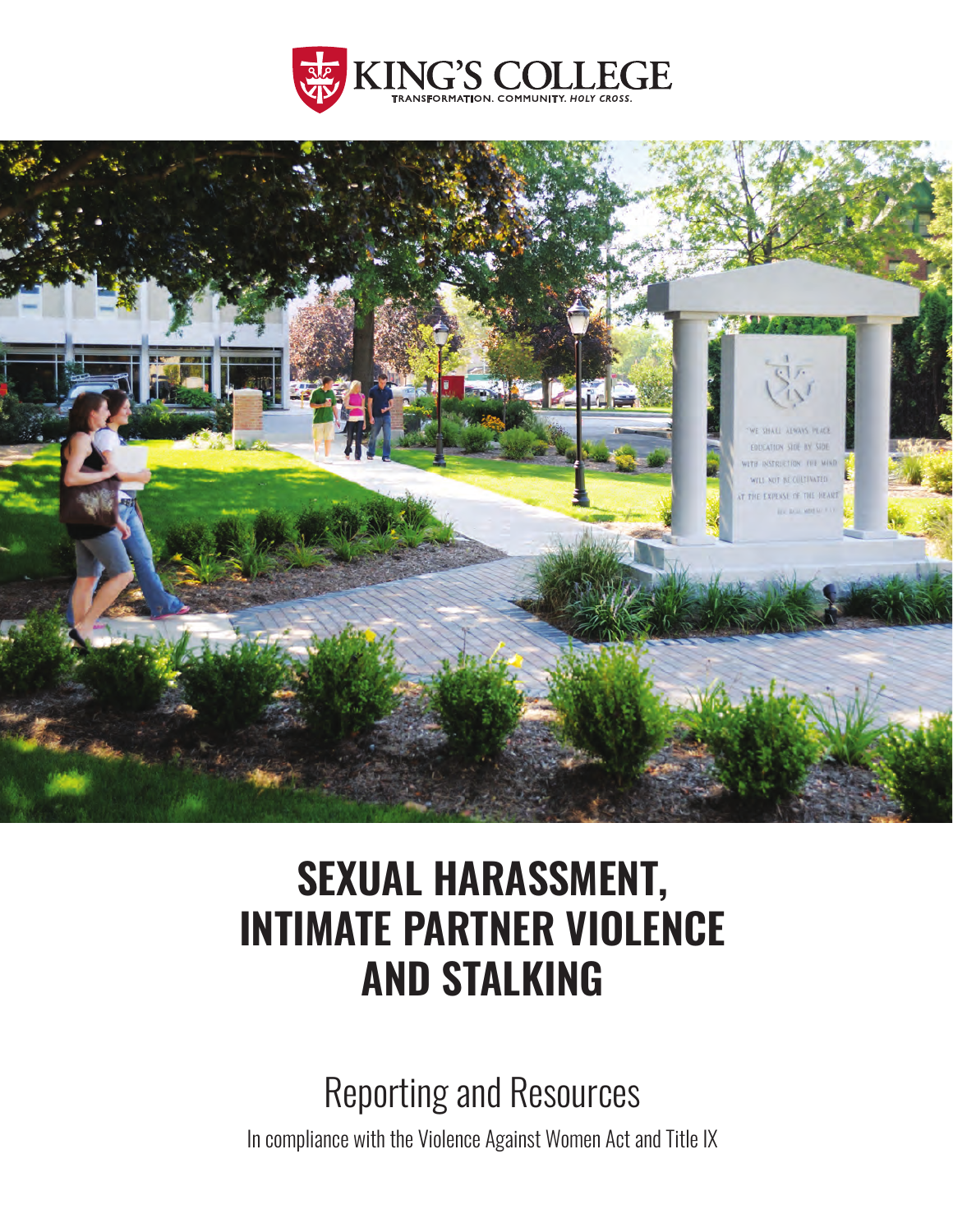



# **SEXUAL HARASSMENT, INTIMATE PARTNER VIOLENCE AND STALKING**

Reporting and Resources

In compliance with the Violence Against Women Act and Title IX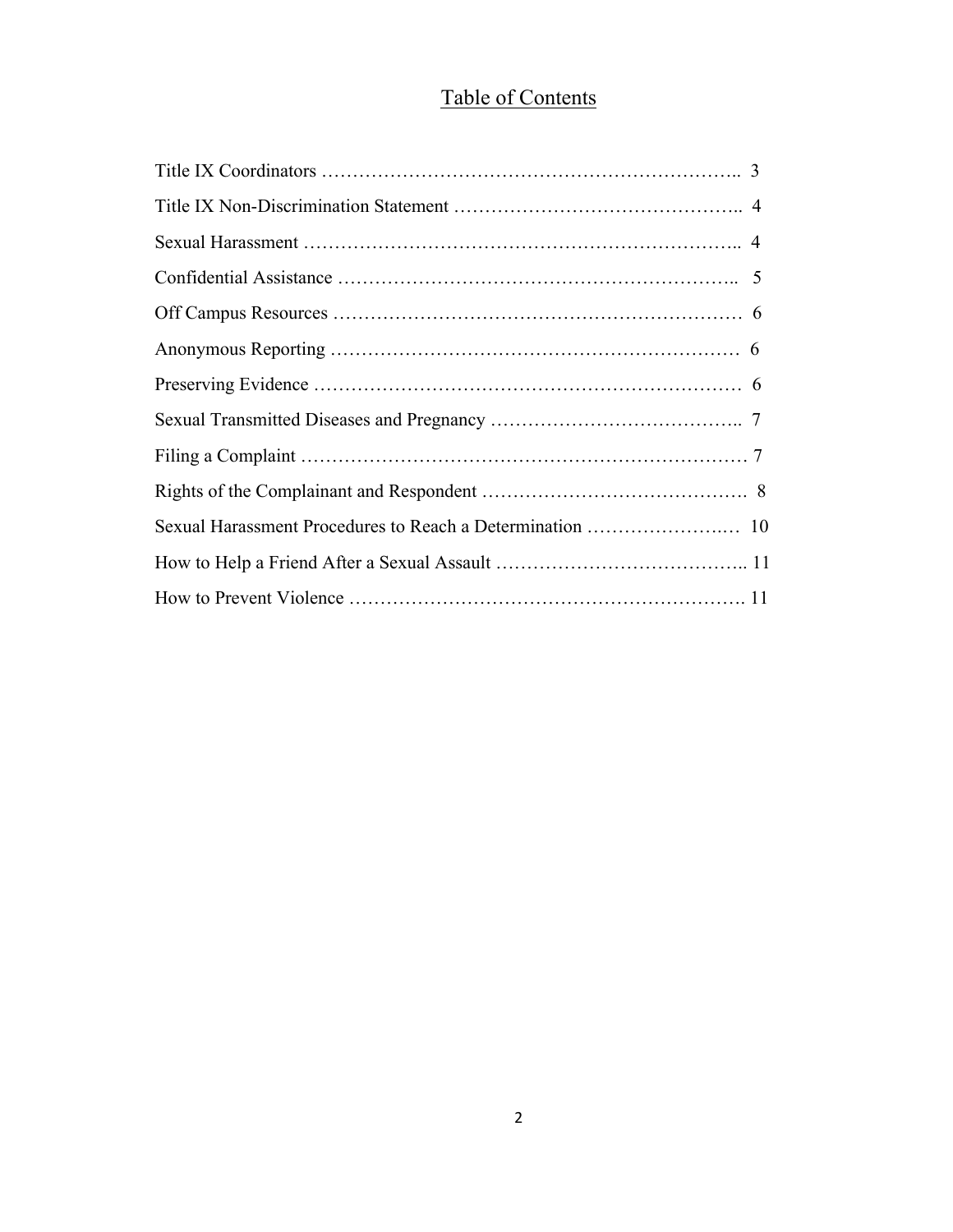# Table of Contents

| 3 |
|---|
|   |
|   |
|   |
|   |
|   |
|   |
|   |
|   |
|   |
|   |
|   |
|   |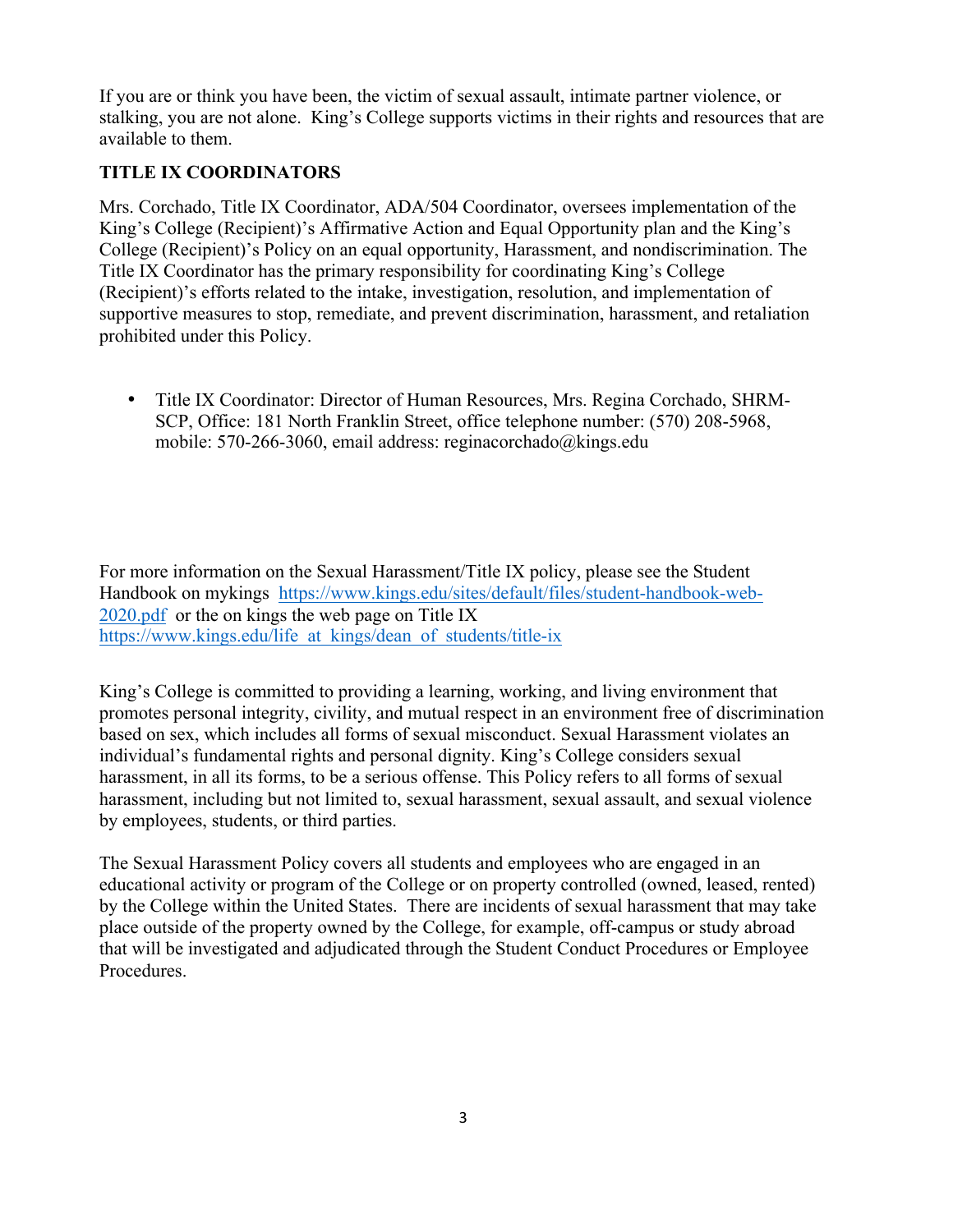<span id="page-2-0"></span>If you are or think you have been, the victim of sexual assault, intimate partner violence, or stalking, you are not alone. King's College supports victims in their rights and resources that are available to them.

# **TITLE IX COORDINATORS**

Mrs. Corchado, Title IX Coordinator, ADA/504 Coordinator, oversees implementation of the King's College (Recipient)'s Affirmative Action and Equal Opportunity plan and the King's College (Recipient)'s Policy on an equal opportunity, Harassment, and nondiscrimination. The Title IX Coordinator has the primary responsibility for coordinating King's College (Recipient)'s efforts related to the intake, investigation, resolution, and implementation of supportive measures to stop, remediate, and prevent discrimination, harassment, and retaliation prohibited under this Policy.

• Title IX Coordinator: Director of Human Resources, Mrs. Regina Corchado, SHRM-SCP, Office: 181 North Franklin Street, office telephone number: (570) 208-5968, mobile: 570-266-3060, email address: [reginacorchado@kings.edu](mailto:reginacorchado@kings.edu) 

https://www.kings.edu/life at kings/dean of students/title-ix For more information on the Sexual Harassment/Title IX policy, please see the Student Handbook on mykings <https://www.kings.edu/sites/default/files/student-handbook-web>-2020.pdf or the on kings the web page on Title IX

King's College is committed to providing a learning, working, and living environment that promotes personal integrity, civility, and mutual respect in an environment free of discrimination based on sex, which includes all forms of sexual misconduct. Sexual Harassment violates an individual's fundamental rights and personal dignity. King's College considers sexual harassment, in all its forms, to be a serious offense. This Policy refers to all forms of sexual harassment, including but not limited to, sexual harassment, sexual assault, and sexual violence by employees, students, or third parties.

The Sexual Harassment Policy covers all students and employees who are engaged in an educational activity or program of the College or on property controlled (owned, leased, rented) by the College within the United States. There are incidents of sexual harassment that may take place outside of the property owned by the College, for example, off-campus or study abroad that will be investigated and adjudicated through the Student Conduct Procedures or Employee Procedures.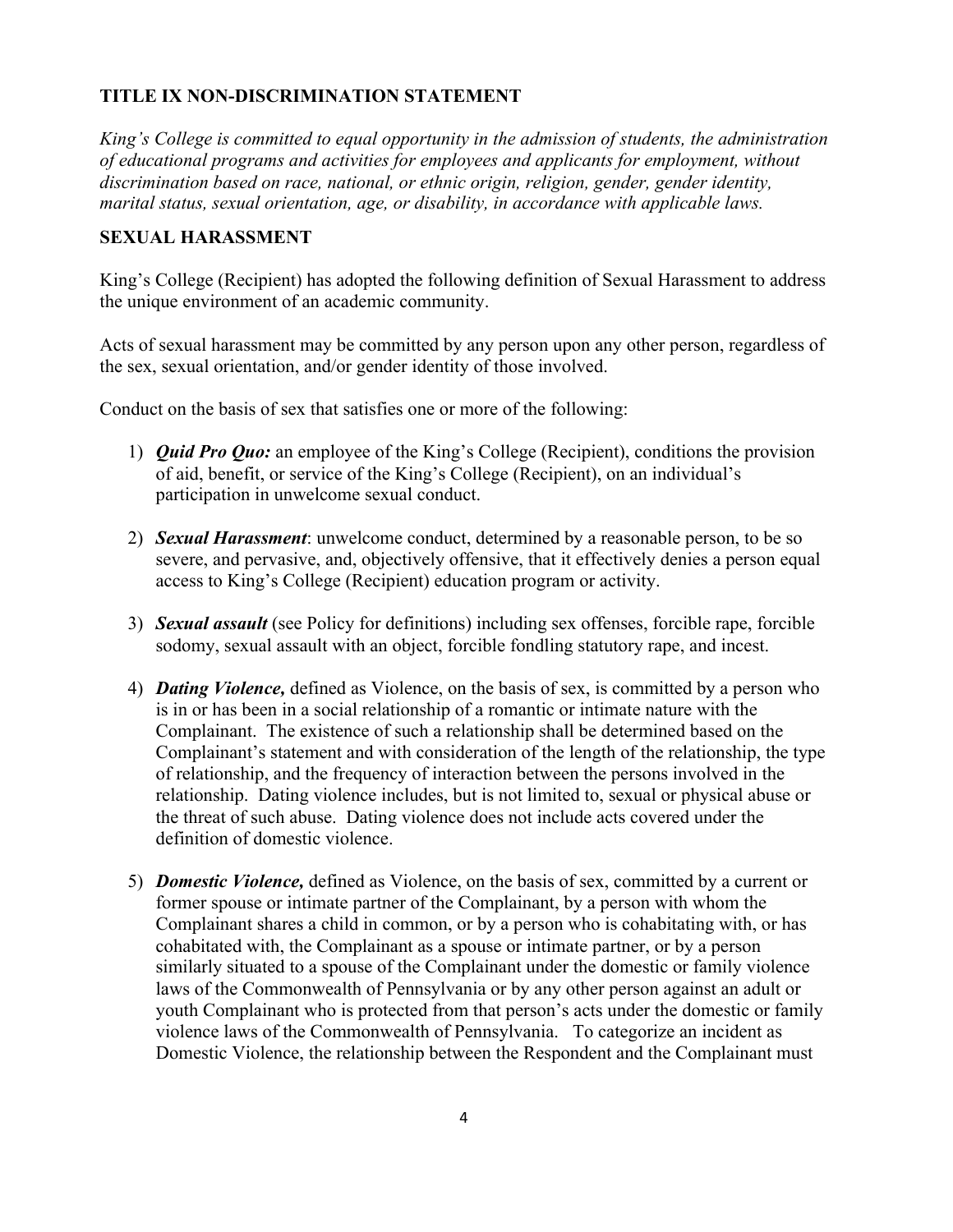# <span id="page-3-0"></span>**TITLE IX NON-DISCRIMINATION STATEMENT**

*King's College is committed to equal opportunity in the admission of students, the administration of educational programs and activities for employees and applicants for employment, without discrimination based on race, national, or ethnic origin, religion, gender, gender identity, marital status, sexual orientation, age, or disability, in accordance with applicable laws.* 

#### **SEXUAL HARASSMENT**

King's College (Recipient) has adopted the following definition of Sexual Harassment to address the unique environment of an academic community.

Acts of sexual harassment may be committed by any person upon any other person, regardless of the sex, sexual orientation, and/or gender identity of those involved.

Conduct on the basis of sex that satisfies one or more of the following:

- 1) *Quid Pro Quo:* an employee of the King's College (Recipient), conditions the provision of aid, benefit, or service of the King's College (Recipient), on an individual's participation in unwelcome sexual conduct.
- 2) *Sexual Harassment*: unwelcome conduct, determined by a reasonable person, to be so severe, and pervasive, and, objectively offensive, that it effectively denies a person equal access to King's College (Recipient) education program or activity.
- 3) *Sexual assault* (see Policy for definitions) including sex offenses, forcible rape, forcible sodomy, sexual assault with an object, forcible fondling statutory rape, and incest.
- 4) *Dating Violence,* defined as Violence, on the basis of sex, is committed by a person who is in or has been in a social relationship of a romantic or intimate nature with the Complainant. The existence of such a relationship shall be determined based on the Complainant's statement and with consideration of the length of the relationship, the type of relationship, and the frequency of interaction between the persons involved in the relationship. Dating violence includes, but is not limited to, sexual or physical abuse or the threat of such abuse. Dating violence does not include acts covered under the definition of domestic violence.
- 5) *Domestic Violence,* defined as Violence, on the basis of sex, committed by a current or former spouse or intimate partner of the Complainant, by a person with whom the Complainant shares a child in common, or by a person who is cohabitating with, or has cohabitated with, the Complainant as a spouse or intimate partner, or by a person similarly situated to a spouse of the Complainant under the domestic or family violence laws of the Commonwealth of Pennsylvania or by any other person against an adult or youth Complainant who is protected from that person's acts under the domestic or family violence laws of the Commonwealth of Pennsylvania. To categorize an incident as Domestic Violence, the relationship between the Respondent and the Complainant must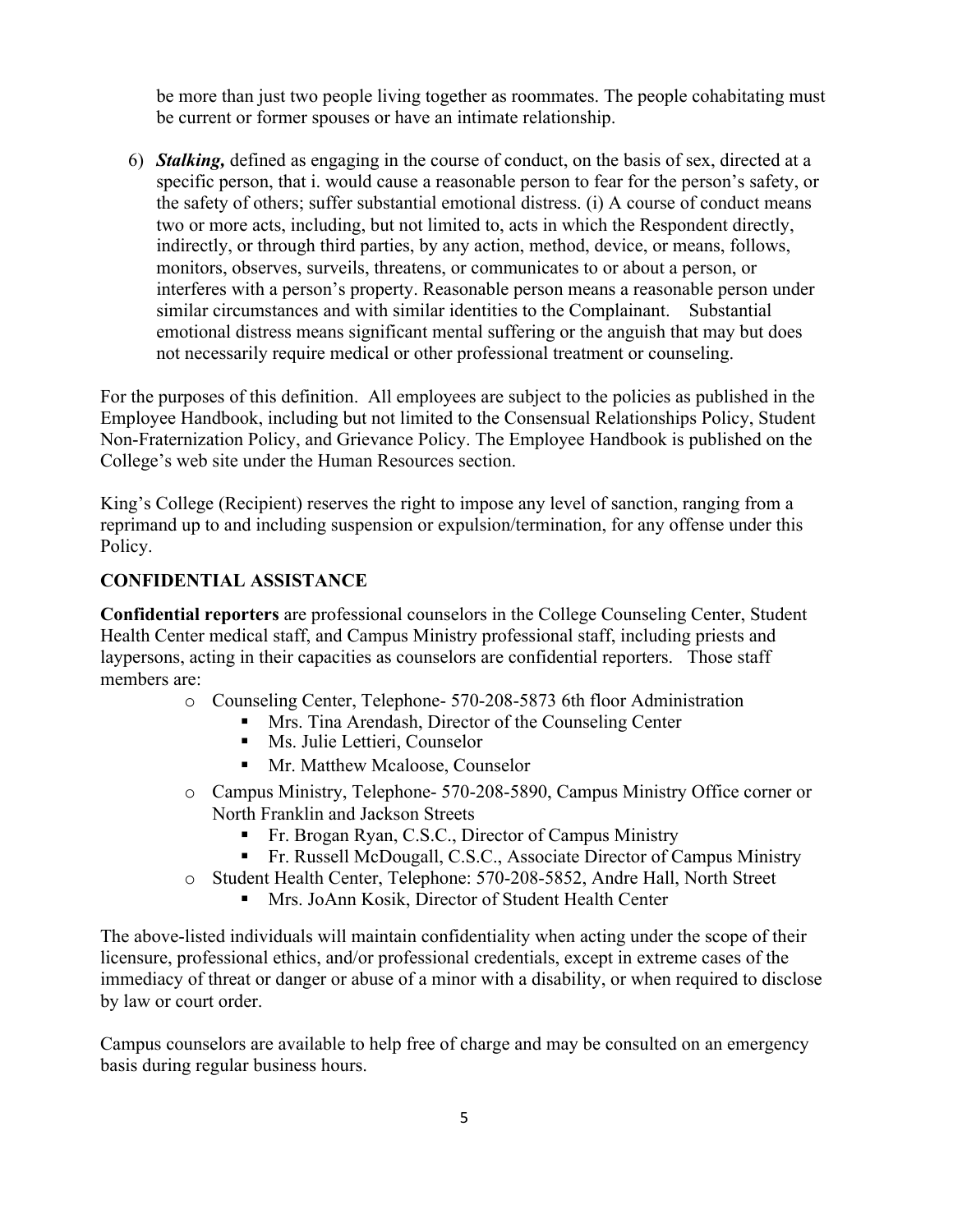<span id="page-4-0"></span>be more than just two people living together as roommates. The people cohabitating must be current or former spouses or have an intimate relationship.

6) *Stalking,* defined as engaging in the course of conduct, on the basis of sex, directed at a specific person, that i. would cause a reasonable person to fear for the person's safety, or the safety of others; suffer substantial emotional distress. (i) A course of conduct means two or more acts, including, but not limited to, acts in which the Respondent directly, indirectly, or through third parties, by any action, method, device, or means, follows, monitors, observes, surveils, threatens, or communicates to or about a person, or interferes with a person's property. Reasonable person means a reasonable person under similar circumstances and with similar identities to the Complainant. Substantial emotional distress means significant mental suffering or the anguish that may but does not necessarily require medical or other professional treatment or counseling.

For the purposes of this definition. All employees are subject to the policies as published in the Employee Handbook, including but not limited to the Consensual Relationships Policy, Student Non-Fraternization Policy, and Grievance Policy. The Employee Handbook is published on the College's web site under the Human Resources section.

King's College (Recipient) reserves the right to impose any level of sanction, ranging from a reprimand up to and including suspension or expulsion/termination, for any offense under this Policy.

#### **CONFIDENTIAL ASSISTANCE**

**Confidential reporters** are professional counselors in the College Counseling Center, Student Health Center medical staff, and Campus Ministry professional staff, including priests and laypersons, acting in their capacities as counselors are confidential reporters. Those staff members are:

- o Counseling Center, Telephone- 570-208-5873 6th floor Administration
	- Mrs. Tina Arendash, Director of the Counseling Center
	- Ms. Julie Lettieri, Counselor
	- Mr. Matthew Mcaloose, Counselor
- o Campus Ministry, Telephone- 570-208-5890, Campus Ministry Office corner or North Franklin and Jackson Streets
	- Fr. Brogan Ryan, C.S.C., Director of Campus Ministry
	- Fr. Russell McDougall, C.S.C., Associate Director of Campus Ministry
- o Student Health Center, Telephone: 570-208-5852, Andre Hall, North Street
	- Mrs. JoAnn Kosik, Director of Student Health Center

The above-listed individuals will maintain confidentiality when acting under the scope of their licensure, professional ethics, and/or professional credentials, except in extreme cases of the immediacy of threat or danger or abuse of a minor with a disability, or when required to disclose by law or court order.

Campus counselors are available to help free of charge and may be consulted on an emergency basis during regular business hours.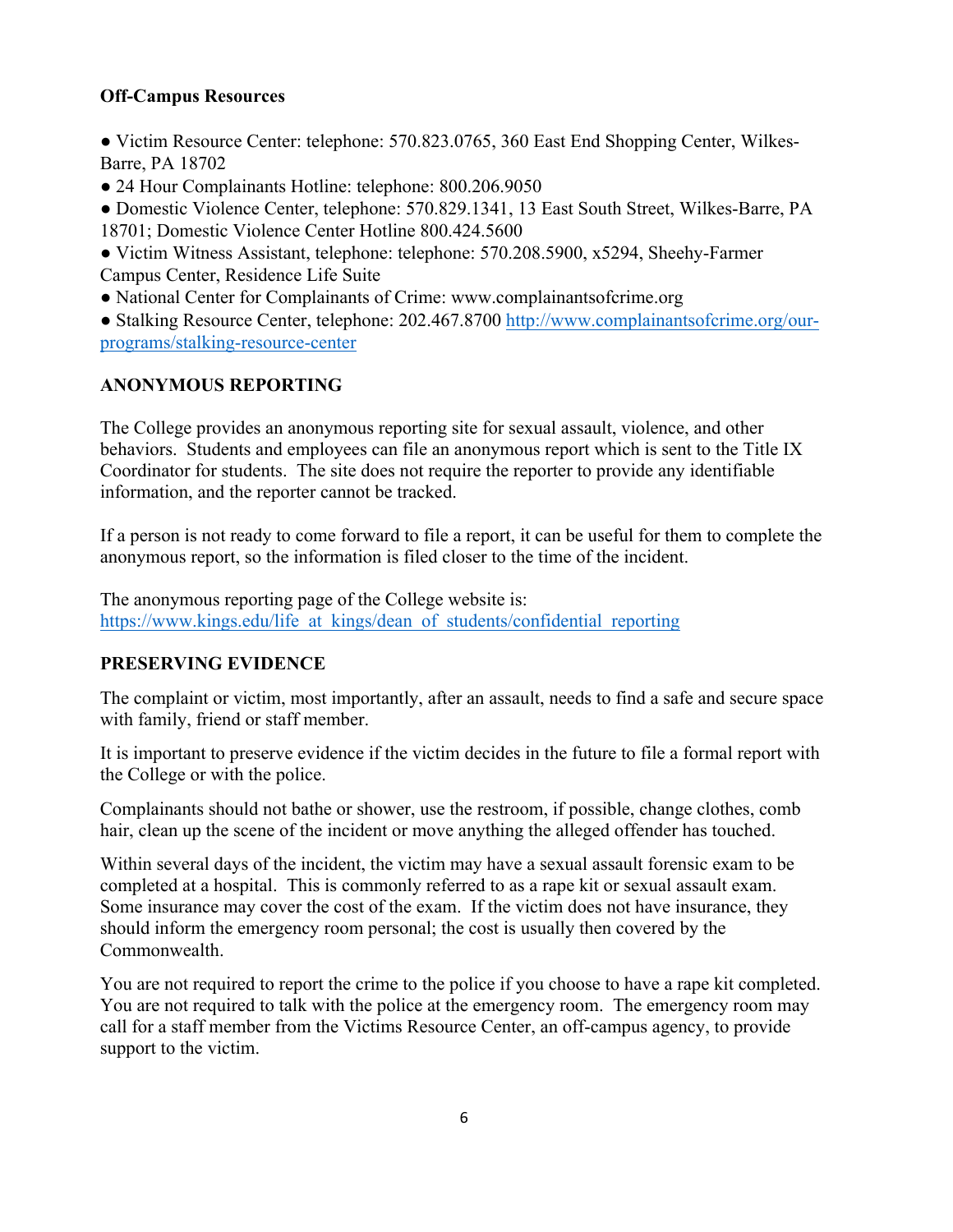# <span id="page-5-0"></span>**Off-Campus Resources**

• Victim Resource Center: telephone: 570.823.0765, 360 East End Shopping Center, Wilkes-Barre, PA 18702

● 24 Hour Complainants Hotline: telephone: 800.206.9050

● Domestic Violence Center, telephone: 570.829.1341, 13 East South Street, Wilkes-Barre, PA 18701; Domestic Violence Center Hotline 800.424.5600

● Victim Witness Assistant, telephone: telephone: 570.208.5900, x5294, Sheehy-Farmer Campus Center, Residence Life Suite

• National Center for Complainants of Crime: <www.complainantsofcrime.org>

● Stalking Resource Center, telephone: 202.467.8700<http://www.complainantsofcrime.org/our>programs/stalking-resource-center

# **ANONYMOUS REPORTING**

The College provides an anonymous reporting site for sexual assault, violence, and other behaviors. Students and employees can file an anonymous report which is sent to the Title IX Coordinator for students. The site does not require the reporter to provide any identifiable information, and the reporter cannot be tracked.

If a person is not ready to come forward to file a report, it can be useful for them to complete the anonymous report, so the information is filed closer to the time of the incident.

The anonymous reporting page of the College website is: https://www.kings.edu/life\_at\_kings/dean\_of\_students/confidential\_reporting

# **PRESERVING EVIDENCE**

The complaint or victim, most importantly, after an assault, needs to find a safe and secure space with family, friend or staff member.

It is important to preserve evidence if the victim decides in the future to file a formal report with the College or with the police.

Complainants should not bathe or shower, use the restroom, if possible, change clothes, comb hair, clean up the scene of the incident or move anything the alleged offender has touched.

Within several days of the incident, the victim may have a sexual assault forensic exam to be completed at a hospital. This is commonly referred to as a rape kit or sexual assault exam. Some insurance may cover the cost of the exam. If the victim does not have insurance, they should inform the emergency room personal; the cost is usually then covered by the Commonwealth.

You are not required to report the crime to the police if you choose to have a rape kit completed. You are not required to talk with the police at the emergency room. The emergency room may call for a staff member from the Victims Resource Center, an off-campus agency, to provide support to the victim.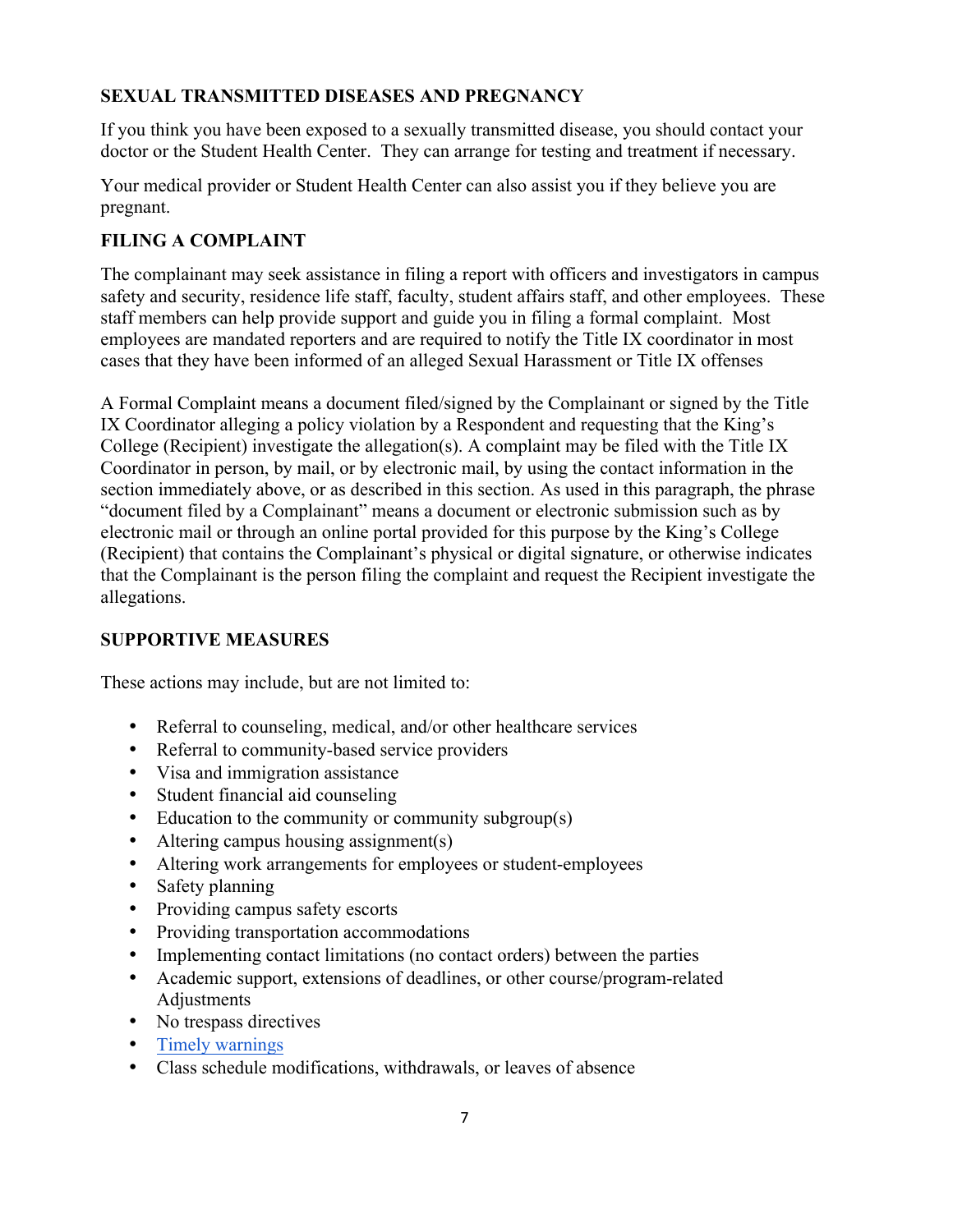# <span id="page-6-0"></span>**SEXUAL TRANSMITTED DISEASES AND PREGNANCY**

If you think you have been exposed to a sexually transmitted disease, you should contact your doctor or the Student Health Center. They can arrange for testing and treatment if necessary.

Your medical provider or Student Health Center can also assist you if they believe you are pregnant.

# **FILING A COMPLAINT**

The complainant may seek assistance in filing a report with officers and investigators in campus safety and security, residence life staff, faculty, student affairs staff, and other employees. These staff members can help provide support and guide you in filing a formal complaint. Most employees are mandated reporters and are required to notify the Title IX coordinator in most cases that they have been informed of an alleged Sexual Harassment or Title IX offenses

A Formal Complaint means a document filed/signed by the Complainant or signed by the Title IX Coordinator alleging a policy violation by a Respondent and requesting that the King's College (Recipient) investigate the allegation(s). A complaint may be filed with the Title IX Coordinator in person, by mail, or by electronic mail, by using the contact information in the section immediately above, or as described in this section. As used in this paragraph, the phrase "document filed by a Complainant" means a document or electronic submission such as by electronic mail or through an online portal provided for this purpose by the King's College (Recipient) that contains the Complainant's physical or digital signature, or otherwise indicates that the Complainant is the person filing the complaint and request the Recipient investigate the allegations.

# **SUPPORTIVE MEASURES**

These actions may include, but are not limited to:

- Referral to counseling, medical, and/or other healthcare services
- Referral to community-based service providers
- Visa and immigration assistance
- Student financial aid counseling
- Education to the community or community subgroup(s)
- Altering campus housing assignment(s)
- Altering work arrangements for employees or student-employees
- Safety planning
- Providing campus safety escorts
- Providing transportation accommodations
- Implementing contact limitations (no contact orders) between the parties
- Academic support, extensions of deadlines, or other course/program-related Adjustments
- No trespass directives
- Timely warnings
- Class schedule modifications, withdrawals, or leaves of absence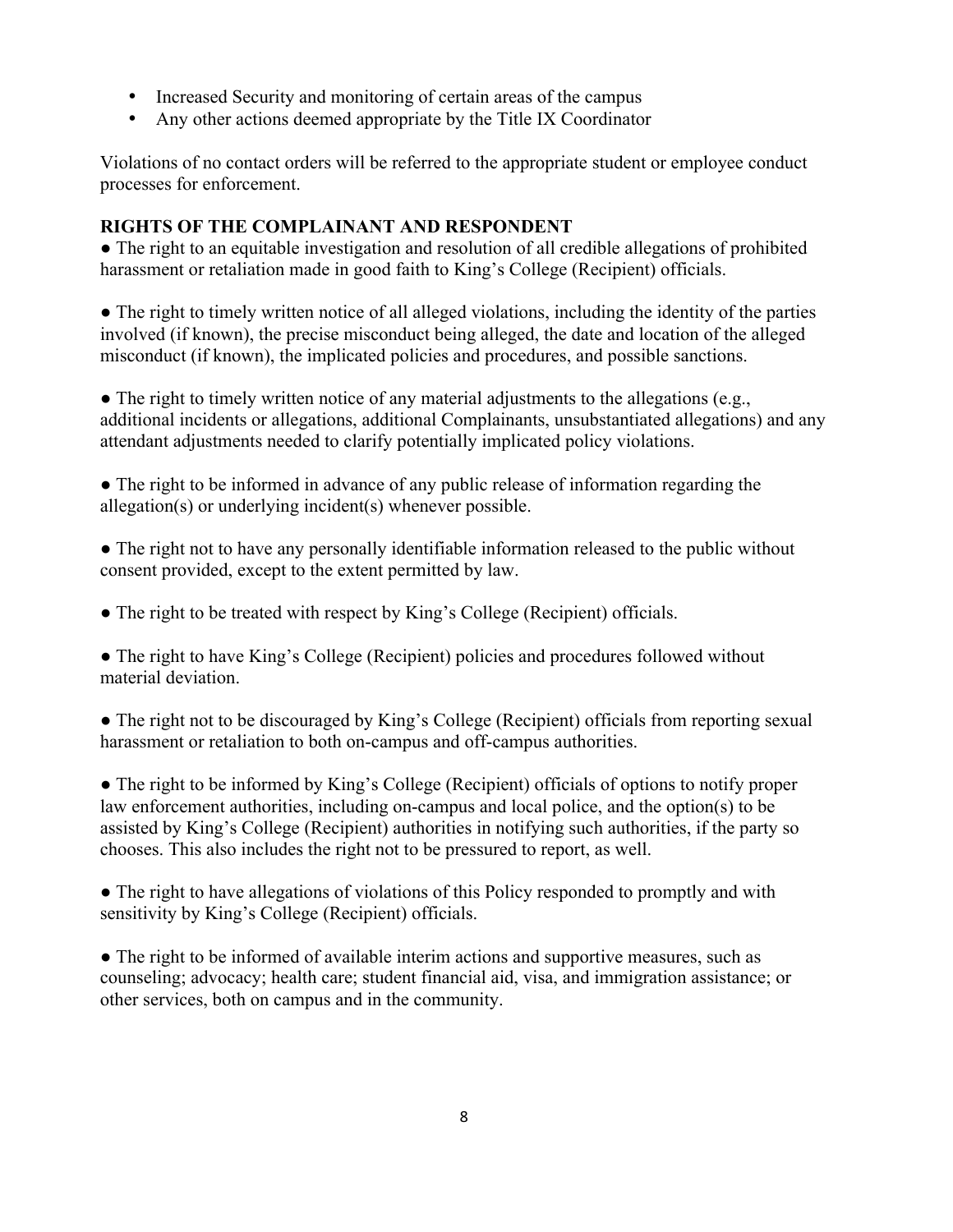- <span id="page-7-0"></span>• Increased Security and monitoring of certain areas of the campus
- Any other actions deemed appropriate by the Title IX Coordinator

Violations of no contact orders will be referred to the appropriate student or employee conduct processes for enforcement.

# **RIGHTS OF THE COMPLAINANT AND RESPONDENT**

● The right to an equitable investigation and resolution of all credible allegations of prohibited harassment or retaliation made in good faith to King's College (Recipient) officials.

• The right to timely written notice of all alleged violations, including the identity of the parties involved (if known), the precise misconduct being alleged, the date and location of the alleged misconduct (if known), the implicated policies and procedures, and possible sanctions.

 $\bullet$  The right to timely written notice of any material adjustments to the allegations (e.g., additional incidents or allegations, additional Complainants, unsubstantiated allegations) and any attendant adjustments needed to clarify potentially implicated policy violations.

• The right to be informed in advance of any public release of information regarding the allegation(s) or underlying incident(s) whenever possible.

• The right not to have any personally identifiable information released to the public without consent provided, except to the extent permitted by law.

• The right to be treated with respect by King's College (Recipient) officials.

• The right to have King's College (Recipient) policies and procedures followed without material deviation.

• The right not to be discouraged by King's College (Recipient) officials from reporting sexual harassment or retaliation to both on-campus and off-campus authorities.

● The right to be informed by King's College (Recipient) officials of options to notify proper law enforcement authorities, including on-campus and local police, and the option(s) to be assisted by King's College (Recipient) authorities in notifying such authorities, if the party so chooses. This also includes the right not to be pressured to report, as well.

• The right to have allegations of violations of this Policy responded to promptly and with sensitivity by King's College (Recipient) officials.

• The right to be informed of available interim actions and supportive measures, such as counseling; advocacy; health care; student financial aid, visa, and immigration assistance; or other services, both on campus and in the community.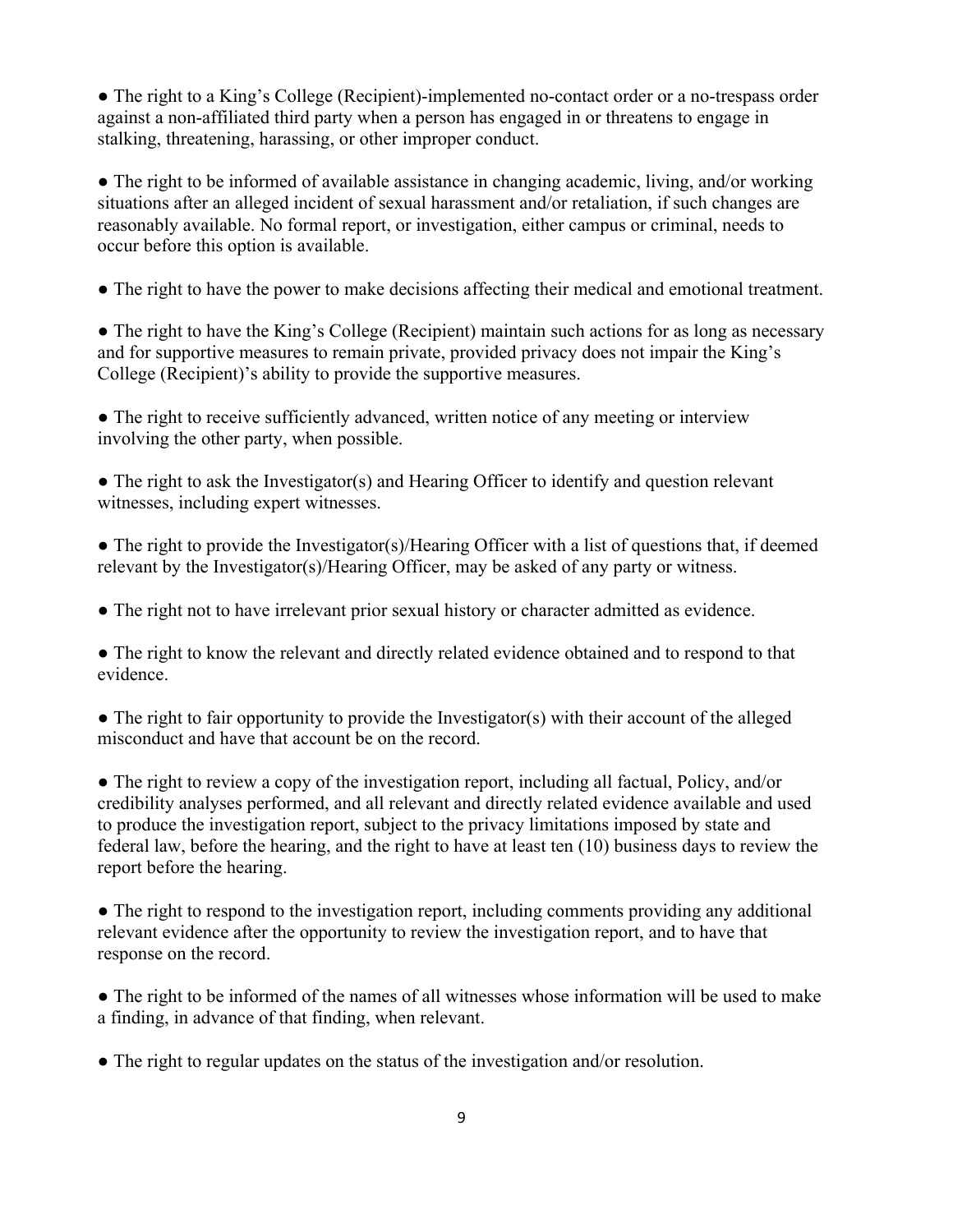• The right to a King's College (Recipient)-implemented no-contact order or a no-trespass order against a non-affiliated third party when a person has engaged in or threatens to engage in stalking, threatening, harassing, or other improper conduct.

• The right to be informed of available assistance in changing academic, living, and/or working situations after an alleged incident of sexual harassment and/or retaliation, if such changes are reasonably available. No formal report, or investigation, either campus or criminal, needs to occur before this option is available.

● The right to have the power to make decisions affecting their medical and emotional treatment.

● The right to have the King's College (Recipient) maintain such actions for as long as necessary and for supportive measures to remain private, provided privacy does not impair the King's College (Recipient)'s ability to provide the supportive measures.

• The right to receive sufficiently advanced, written notice of any meeting or interview involving the other party, when possible.

• The right to ask the Investigator(s) and Hearing Officer to identify and question relevant witnesses, including expert witnesses.

 $\bullet$  The right to provide the Investigator(s)/Hearing Officer with a list of questions that, if deemed relevant by the Investigator(s)/Hearing Officer, may be asked of any party or witness.

● The right not to have irrelevant prior sexual history or character admitted as evidence.

• The right to know the relevant and directly related evidence obtained and to respond to that evidence.

• The right to fair opportunity to provide the Investigator(s) with their account of the alleged misconduct and have that account be on the record.

● The right to review a copy of the investigation report, including all factual, Policy, and/or credibility analyses performed, and all relevant and directly related evidence available and used to produce the investigation report, subject to the privacy limitations imposed by state and federal law, before the hearing, and the right to have at least ten (10) business days to review the report before the hearing.

• The right to respond to the investigation report, including comments providing any additional relevant evidence after the opportunity to review the investigation report, and to have that response on the record.

● The right to be informed of the names of all witnesses whose information will be used to make a finding, in advance of that finding, when relevant.

● The right to regular updates on the status of the investigation and/or resolution.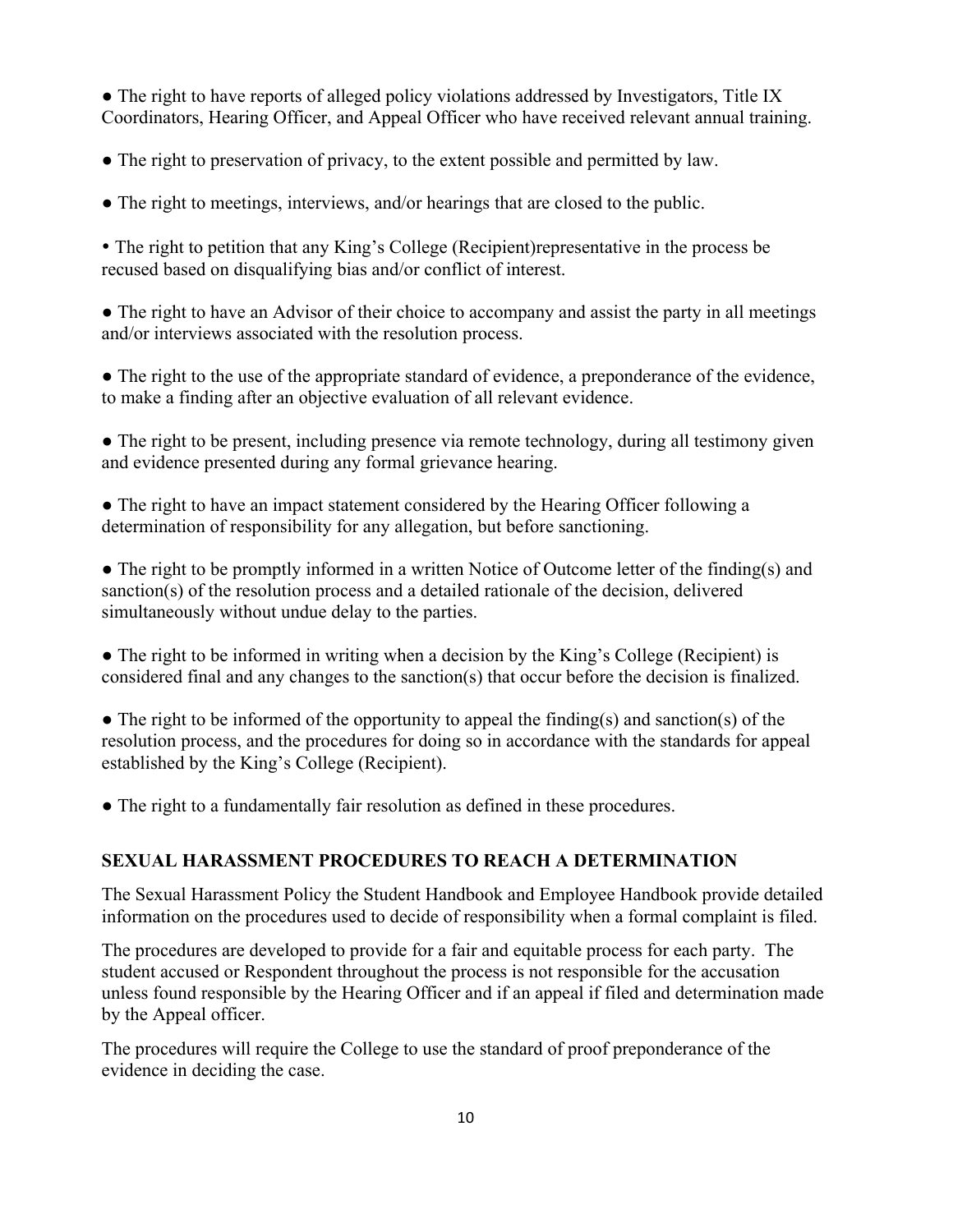<span id="page-9-0"></span>• The right to have reports of alleged policy violations addressed by Investigators, Title IX Coordinators, Hearing Officer, and Appeal Officer who have received relevant annual training.

- The right to preservation of privacy, to the extent possible and permitted by law.
- The right to meetings, interviews, and/or hearings that are closed to the public.

• The right to petition that any King's College (Recipient)representative in the process be recused based on disqualifying bias and/or conflict of interest.

• The right to have an Advisor of their choice to accompany and assist the party in all meetings and/or interviews associated with the resolution process.

• The right to the use of the appropriate standard of evidence, a preponderance of the evidence, to make a finding after an objective evaluation of all relevant evidence.

• The right to be present, including presence via remote technology, during all testimony given and evidence presented during any formal grievance hearing.

• The right to have an impact statement considered by the Hearing Officer following a determination of responsibility for any allegation, but before sanctioning.

• The right to be promptly informed in a written Notice of Outcome letter of the finding(s) and sanction(s) of the resolution process and a detailed rationale of the decision, delivered simultaneously without undue delay to the parties.

● The right to be informed in writing when a decision by the King's College (Recipient) is considered final and any changes to the sanction(s) that occur before the decision is finalized.

 $\bullet$  The right to be informed of the opportunity to appeal the finding(s) and sanction(s) of the resolution process, and the procedures for doing so in accordance with the standards for appeal established by the King's College (Recipient).

● The right to a fundamentally fair resolution as defined in these procedures.

# **SEXUAL HARASSMENT PROCEDURES TO REACH A DETERMINATION**

The Sexual Harassment Policy the Student Handbook and Employee Handbook provide detailed information on the procedures used to decide of responsibility when a formal complaint is filed.

The procedures are developed to provide for a fair and equitable process for each party. The student accused or Respondent throughout the process is not responsible for the accusation unless found responsible by the Hearing Officer and if an appeal if filed and determination made by the Appeal officer.

The procedures will require the College to use the standard of proof preponderance of the evidence in deciding the case.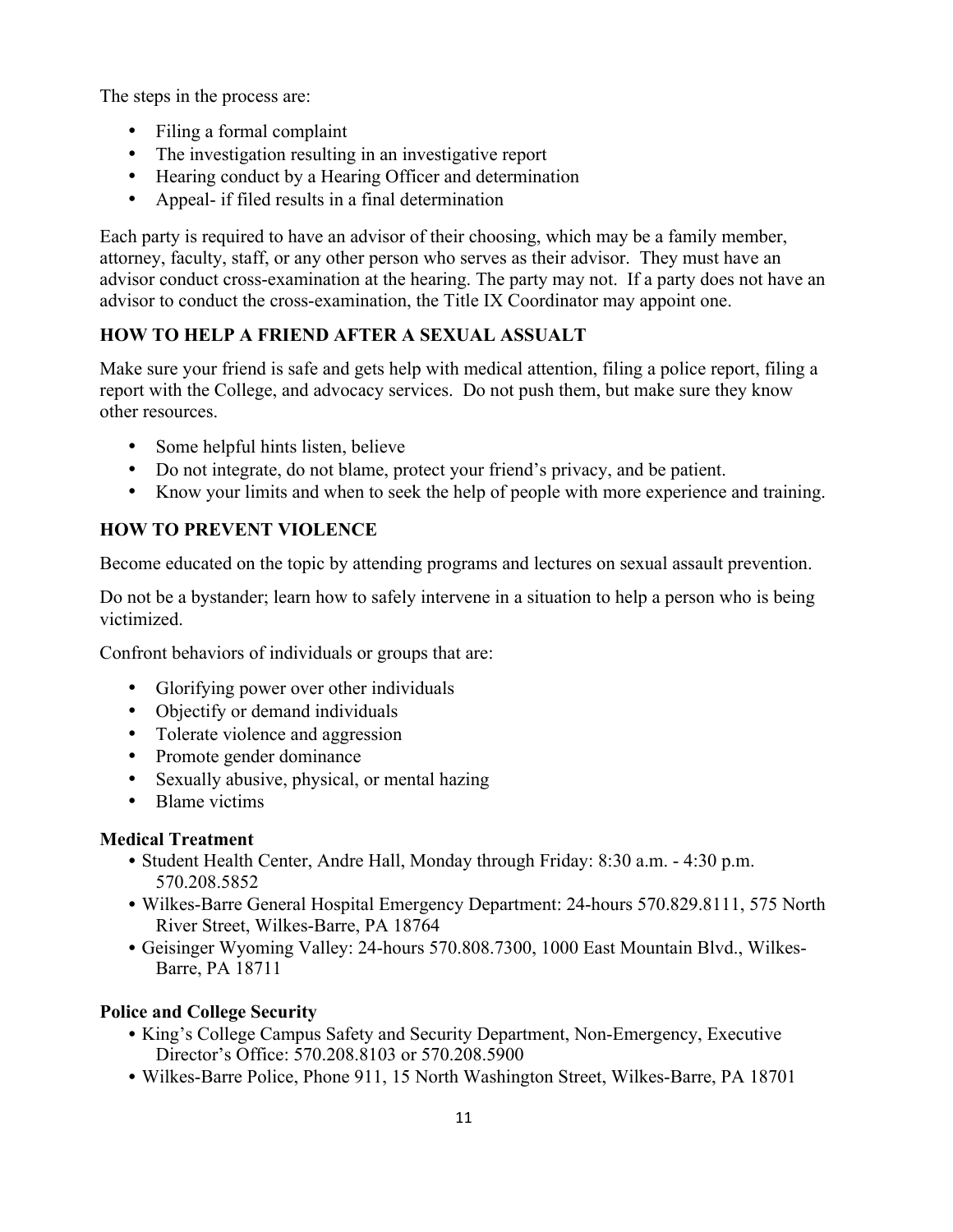<span id="page-10-0"></span>The steps in the process are:

- Filing a formal complaint
- The investigation resulting in an investigative report
- Hearing conduct by a Hearing Officer and determination
- Appeal- if filed results in a final determination

Each party is required to have an advisor of their choosing, which may be a family member, attorney, faculty, staff, or any other person who serves as their advisor. They must have an advisor conduct cross-examination at the hearing. The party may not. If a party does not have an advisor to conduct the cross-examination, the Title IX Coordinator may appoint one.

# **HOW TO HELP A FRIEND AFTER A SEXUAL ASSUALT**

Make sure your friend is safe and gets help with medical attention, filing a police report, filing a report with the College, and advocacy services. Do not push them, but make sure they know other resources.

- Some helpful hints listen, believe
- Do not integrate, do not blame, protect your friend's privacy, and be patient.
- Know your limits and when to seek the help of people with more experience and training.

# **HOW TO PREVENT VIOLENCE**

Become educated on the topic by attending programs and lectures on sexual assault prevention.

Do not be a bystander; learn how to safely intervene in a situation to help a person who is being victimized.

Confront behaviors of individuals or groups that are:

- Glorifying power over other individuals
- Objectify or demand individuals
- Tolerate violence and aggression
- Promote gender dominance
- Sexually abusive, physical, or mental hazing
- Blame victims

# **Medical Treatment**

- Student Health Center, Andre Hall, Monday through Friday: 8:30 a.m. 4:30 p.m. 570.208.5852
- Wilkes-Barre General Hospital Emergency Department: 24-hours 570.829.8111, 575 North River Street, Wilkes-Barre, PA 18764
- Geisinger Wyoming Valley: 24-hours 570.808.7300, 1000 East Mountain Blvd., Wilkes-Barre, PA 18711

# **Police and College Security**

- King's College Campus Safety and Security Department, Non-Emergency, Executive Director's Office: 570.208.8103 or 570.208.5900
- Wilkes-Barre Police, Phone 911, 15 North Washington Street, Wilkes-Barre, PA 18701